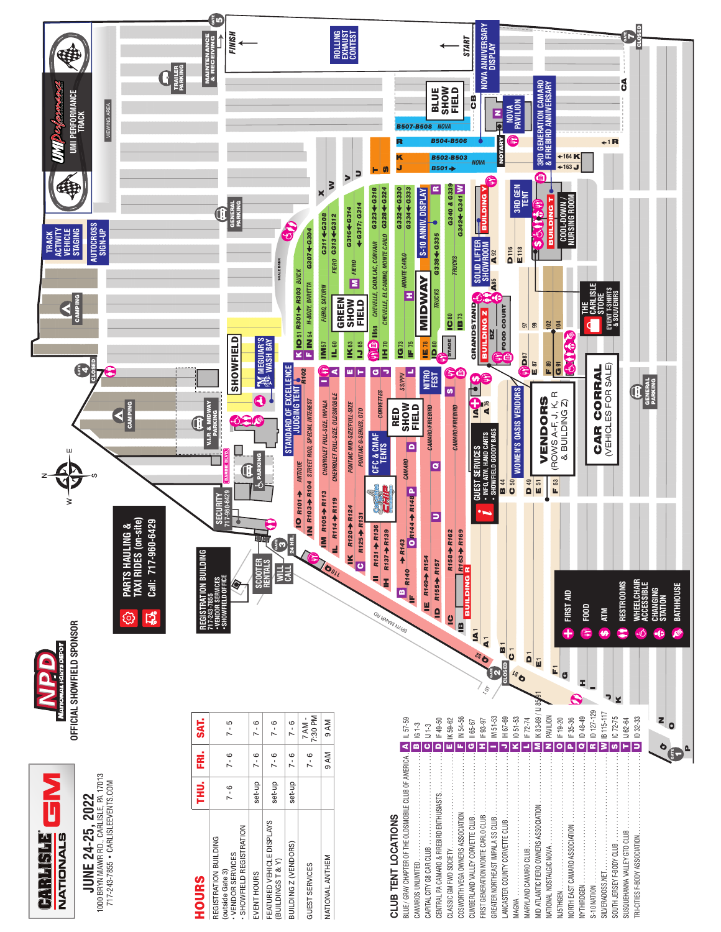

**JUNE 24-25, 2022**<br>1000 BRYN MAWR RD., CARLISLE, PA 17013<br>717-243-7855 • CARLISLEEVENTS.COM 1000 BRYN MAWR RD., CARLISLE, PA 17013 717-243-7855 • CARLISLEEVENTS.COM **JUNE 24-25, 2022** 7-243-7855 • CARLISLEEVEN

| <b>HOURS</b>                                                                                    | THU.    | Ë       | <b>SAT.</b>        |
|-------------------------------------------------------------------------------------------------|---------|---------|--------------------|
| <b>SHOWFIELD REGISTRATION</b><br>REGISTRATION BUILDING<br>· VENDOR SERVICES<br>(outside Gate 3) | $7 - 6$ | $7 - 6$ | $7 - 5$            |
| EVENT HOURS                                                                                     | set-up  | $7 - 6$ | $7 - 6$            |
| FEATURED VEHICLE DISPLAYS<br>(BUILDINGST&Y)                                                     | set-up  | $7 - 6$ | $7 - 6$            |
| BUILDING Z (VENDORS)                                                                            | set-up  | $7 - 6$ | $7 - 6$            |
| GUEST SERVICES                                                                                  |         | $7 - 6$ | 7:30 PM<br>$7AM -$ |
| NATIONAL ANTHEM                                                                                 |         | 9 AM    | 9 AM               |
|                                                                                                 |         |         |                    |

| <b>CLUB TENT LOCATIONS</b>                             |              |  |
|--------------------------------------------------------|--------------|--|
| BLUE / GRAY CHAPTER OF THE OLDSMOBILE CLUB OF AMERICA. | IL 57-59     |  |
| CAMAROS UNLIMITED                                      | IG 1-3       |  |
|                                                        | $U1-3$       |  |
| CENTRAL PA CAMARO & FIREBIRD ENTHUSIASTS               | IF 49-50     |  |
|                                                        | IK 59-62     |  |
| COSWORTH VEGA OWNERS ASSOCIATION                       | IN 54-56     |  |
|                                                        | II 65-67     |  |
| FIRST GENERATION MONTE CARLO CLUB                      | IF 93-97     |  |
| GREATER NORTHEAST IMPALA SS CLUB                       | IM 51-53     |  |
|                                                        | H 67-69      |  |
| MAGNA                                                  | 1051-53      |  |
| MARYLAND CAMARO CLUB                                   | IF 72-74     |  |
| MID ATLANTIC FIERO OWNERS ASSOCIATION                  | K83-89/IJ859 |  |
| MATIONAL NOSTALGIC NOVA                                | PAVILION     |  |
|                                                        | IF 19-20     |  |
|                                                        | IF 35-36     |  |
| NYTHIRDGEN                                             | ID 48-49     |  |
| <b>S-10 NATION</b>                                     | ID 127-129   |  |
|                                                        | IB 115-117   |  |
|                                                        | IC 72-75     |  |
| SUSQUEHANNA VALLEY GTO CLUB                            | IJ 62-64     |  |
| TRI-CITIES F-BODY ASSOCIATION.                         | ID 32-33     |  |
|                                                        |              |  |
| $\bullet$                                              |              |  |
|                                                        |              |  |
|                                                        |              |  |

 $\sigma$  date for  $\sigma$